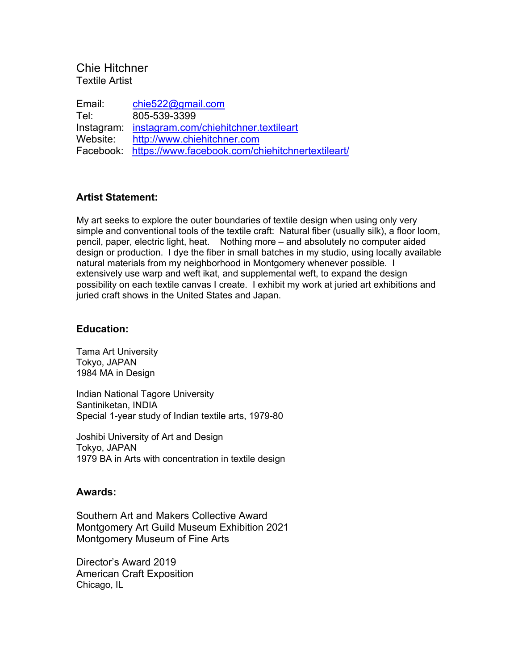# Chie Hitchner Textile Artist

Email: chie522@gmail.com Tel: 805-539-3399 Instagram: instagram.com/chiehitchner.textileart Website: http://www.chiehitchner.com Facebook: https://www.facebook.com/chiehitchnertextileart/

## **Artist Statement:**

My art seeks to explore the outer boundaries of textile design when using only very simple and conventional tools of the textile craft: Natural fiber (usually silk), a floor loom, pencil, paper, electric light, heat. Nothing more – and absolutely no computer aided design or production. I dye the fiber in small batches in my studio, using locally available natural materials from my neighborhood in Montgomery whenever possible. I extensively use warp and weft ikat, and supplemental weft, to expand the design possibility on each textile canvas I create. I exhibit my work at juried art exhibitions and juried craft shows in the United States and Japan.

### **Education:**

Tama Art University Tokyo, JAPAN 1984 MA in Design

Indian National Tagore University Santiniketan, INDIA Special 1-year study of Indian textile arts, 1979-80

Joshibi University of Art and Design Tokyo, JAPAN 1979 BA in Arts with concentration in textile design

### **Awards:**

Southern Art and Makers Collective Award Montgomery Art Guild Museum Exhibition 2021 Montgomery Museum of Fine Arts

Director's Award 2019 American Craft Exposition Chicago, IL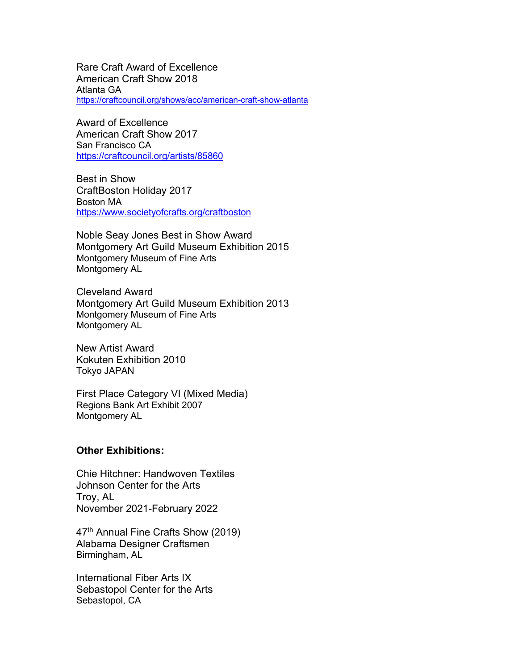Rare Craft Award of Excellence American Craft Show 2018 Atlanta GA https://craftcouncil.org/shows/acc/american-craft-show-atlanta

Award of Excellence American Craft Show 2017 San Francisco CA https://craftcouncil.org/artists/85860

Best in Show CraftBoston Holiday 2017 Boston MA https://www.societyofcrafts.org/craftboston

Noble Seay Jones Best in Show Award Montgomery Art Guild Museum Exhibition 2015 Montgomery Museum of Fine Arts Montgomery AL

Cleveland Award Montgomery Art Guild Museum Exhibition 2013 Montgomery Museum of Fine Arts Montgomery AL

New Artist Award Kokuten Exhibition 2010 Tokyo JAPAN

First Place Category VI (Mixed Media) Regions Bank Art Exhibit 2007 Montgomery AL

### **Other Exhibitions:**

Chie Hitchner: Handwoven Textiles Johnson Center for the Arts Troy, AL November 2021-February 2022

47th Annual Fine Crafts Show (2019) Alabama Designer Craftsmen Birmingham, AL

International Fiber Arts IX Sebastopol Center for the Arts Sebastopol, CA